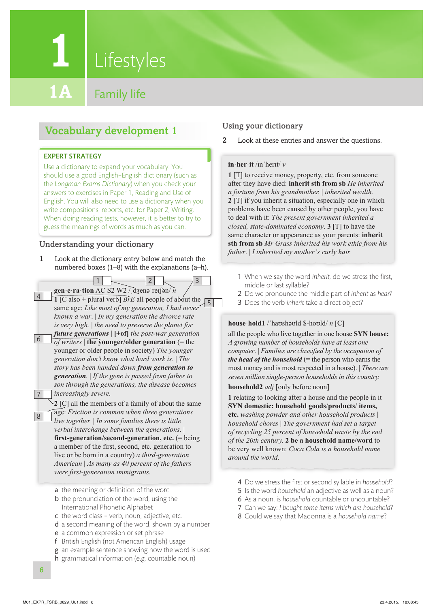**Lifestyles** 

**1**

**Family life** 

# Vocabulary development 1

#### EXPERT STRATEGY

Use a dictionary to expand your vocabulary. You should use a good English–English dictionary (such as the *Longman Exams Dictionary*) when you check your answers to exercises in Paper 1, Reading and Use of English. You will also need to use a dictionary when you write compositions, reports, etc. for Paper 2, Writing. When doing reading tests, however, it is better to try to guess the meanings of words as much as you can.

#### Understanding your dictionary

- 1 Look at the dictionary entry below and match the numbered boxes (1–8) with the explanations (a–h).
- **gen·e·ra·tion** AC S2 W2 /ˌdʒenəˈreɪʃən/ *n* **1** [C also + plural verb]  $\overline{Br}E$  all people of about the  $\frac{1}{5}$ same age: *Like most of my generation, I had never known a war*. | *In my generation the divorce rate is very high.* | *the need to preserve the planet for future generations* | **[+of]** *the post-war generation*   $\sqrt{\text{of} \text{writers}}$  | **the younger/older generation** (= the younger or older people in society) *The younger generation don't know what hard work is.* | *The story has been handed down from generation to generation.* | *If the gene is passed from father to son through the generations, the disease becomes increasingly severe.* 2 4 6 7  $1 \sim$   $|2| \sim$   $|3|$

**2** [C] all the members of a family of about the same age: *Friction is common when three generations live together.* | *In some families there is little*   $verbal$  interchange between the generations. **first-generation/second-generation, etc.** (= being a member of the first, second, etc. generation to live or be born in a country) *a third-generation American* | *As many as 40 percent of the fathers were first-generation immigrants.*

a the meaning or definition of the word

- **b** the pronunciation of the word, using the International Phonetic Alphabet
- c the word class verb, noun, adjective, etc.
- d a second meaning of the word, shown by a number
- e a common expression or set phrase
- f British English (not American English) usage
- g an example sentence showing how the word is used
- h grammatical information (e.g. countable noun)

### Using your dictionary

2 Look at these entries and answer the questions.

#### **in**·**her**·**it** /ɪnˈherɪt/ *v*

**1** [T] to receive money, property, etc. from someone after they have died: **inherit sth from sb** *He inherited a fortune from his grandmother.* | *inherited wealth.* **2** [T] if you inherit a situation, especially one in which problems have been caused by other people, you have to deal with it: *The present government inherited a closed, state-dominated economy*. **3** [T] to have the same character or appearance as your parents: **inherit sth from sb** *Mr Grass inherited his work ethic from his father*. | *I inherited my mother's curly hair.*

- 1 When we say the word *inherit*, do we stress the first, middle or last syllable?
- 2 Do we pronounce the middle part of *inherit* as *hear*?
- 3 Does the verb *inherit* take a direct object?

#### **house**·**hold1** /ˈhaʊshəʊld \$-hoʊld/ *n* [C]

all the people who live together in one house **SYN house:** *A growing number of households have at least one computer*. | *Families are classified by the occupation of the head of the household* ( $=$  the person who earns the most money and is most respected in a house). | *There are seven million single-person households in this country.*

**household2** *adj* [only before noun]

**1** relating to looking after a house and the people in it **SYN domestic: household goods**/**products**/ **items, etc.** *washing powder and other household products* | *household chores* | *The government had set a target of recycling 25 percent of household waste by the end of the 20th century.* **2 be a household name/word** to be very well known: *Coca Cola is a household name around the world.*

- 4 Do we stress the first or second syllable in *household*?
- 5 Is the word *household* an adjective as well as a noun?
- 6 As a noun, is *household* countable or uncountable?
- 7 Can we say: *I bought some items which are household*?
- 8 Could we say that Madonna is a *household name*?

8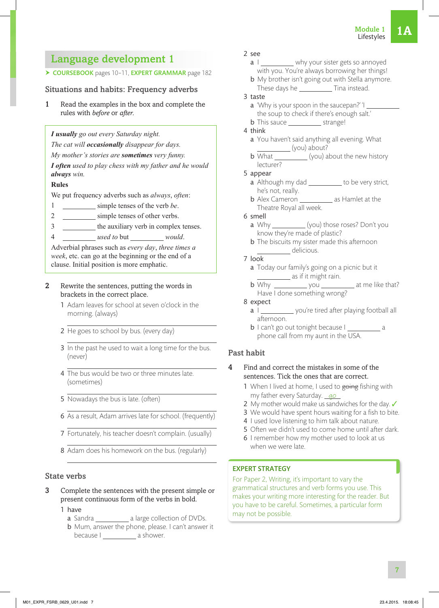# Language development 1

#### ▶ COURSEBOOK pages 10-11, EXPERT GRAMMAR page 182

#### Situations and habits: Frequency adverbs

1 Read the examples in the box and complete the rules with *before* or *after*.

*I usually go out every Saturday night.*

*The cat will occasionally disappear for days.*

*My mother's stories are sometimes very funny.*

*I often used to play chess with my father and he would always win.*

#### **Rules**

We put frequency adverbs such as *always*, *often*:

- 1 simple tenses of the verb *be*.
- 2 simple tenses of other verbs.
- 3 the auxiliary verb in complex tenses.
- 4 \_\_\_\_\_\_\_\_\_\_ used to but \_\_\_\_\_\_\_\_\_\_ would.

Adverbial phrases such as *every day*, *three times a week*, etc. can go at the beginning or the end of a clause. Initial position is more emphatic.

#### 2 Rewrite the sentences, putting the words in brackets in the correct place.

- 1 Adam leaves for school at seven o'clock in the morning. (always)
- 2 He goes to school by bus. (every day)
- 3 In the past he used to wait a long time for the bus. (never)
- 4 The bus would be two or three minutes late. (sometimes)
- 5 Nowadays the bus is late. (often)
- 6 As a result, Adam arrives late for school. (frequently)
- 7 Fortunately, his teacher doesn't complain. (usually)
- 8 Adam does his homework on the bus. (regularly)

#### State verbs

- 3 Complete the sentences with the present simple or present continuous form of the verbs in bold.
	- 1 have
		- a Sandra \_\_\_\_\_\_\_\_\_\_\_\_\_ a large collection of DVDs.
		- b Mum, answer the phone, please. I can't answer it because I \_\_\_\_\_\_\_\_\_\_\_ a shower.

#### 2 see

- a I \_\_\_\_\_\_\_\_\_\_ why your sister gets so annoyed with you. You're always borrowing her things!
- **b** My brother isn't going out with Stella anymore. These days he Tina instead.

#### 3 taste

- a 'Why is your spoon in the saucepan?' 'I the soup to check if there's enough salt.'
- b This sauce strange!
- 4 think
	- a You haven't said anything all evening. What (you) about?
	- $\overline{b}$  What  $\frac{y}{x}$  (you) about the new history lecturer?

#### 5 appear

- $\overline{a}$  Although my dad  $\overline{a}$  to be very strict, he's not, really.
- **b** Alex Cameron as Hamlet at the Theatre Royal all week.

#### 6 smell

- a Why (you) those roses? Don't you know they're made of plastic?
- **b** The biscuits my sister made this afternoon delicious.
- 7 look
	- a Today our family's going on a picnic but it as if it might rain.
	- b Why you at me like that? Have I done something wrong?

#### 8 expect

- a I \_\_\_\_\_\_\_\_\_\_\_ you're tired after playing football all afternoon.
- **b** I can't go out tonight because I phone call from my aunt in the USA.

#### Past habit

#### 4 Find and correct the mistakes in some of the sentences. Tick the ones that are correct.

- 1 When I lived at home, I used to going fishing with my father every Saturday. qo
- 2 My mother would make us sandwiches for the day. ✔
- 3 We would have spent hours waiting for a fish to bite.
- 4 I used love listening to him talk about nature.
- 5 Often we didn't used to come home until after dark.
- 6 I remember how my mother used to look at us when we were late.

#### EXPERT STRATEGY

For Paper 2, Writing, it's important to vary the grammatical structures and verb forms you use. This makes your writing more interesting for the reader. But you have to be careful. Sometimes, a particular form may not be possible.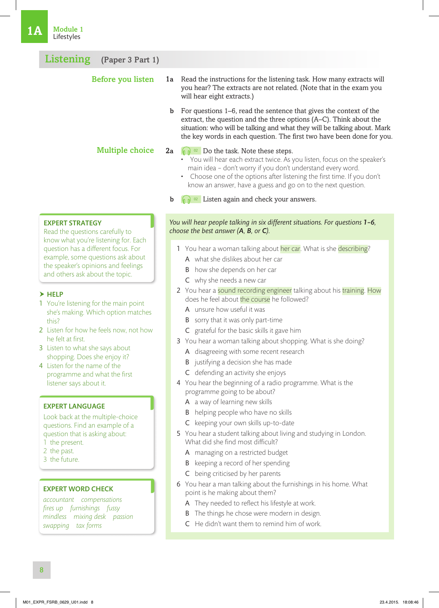| Listening<br>(Paper 3 Part 1) |             |                                                                                                                                                                                                                                                                                                                                                                                  |
|-------------------------------|-------------|----------------------------------------------------------------------------------------------------------------------------------------------------------------------------------------------------------------------------------------------------------------------------------------------------------------------------------------------------------------------------------|
| Before you listen             | 1a          | Read the instructions for the listening task. How many extracts will<br>you hear? The extracts are not related. (Note that in the exam you<br>will hear eight extracts.)                                                                                                                                                                                                         |
|                               | $\mathbf b$ | For questions 1–6, read the sentence that gives the context of the<br>extract, the question and the three options (A–C). Think about the<br>situation: who will be talking and what they will be talking about. Mark<br>the key words in each question. The first two have been done for you.                                                                                    |
| <b>Multiple choice</b>        | 2a -        | $\left[\begin{matrix} 0 & 0 \\ 0 & 0 \end{matrix}\right]$ Do the task. Note these steps.<br>• You will hear each extract twice. As you listen, focus on the speaker's<br>main idea - don't worry if you don't understand every word.<br>• Choose one of the options after listening the first time. If you don't<br>know an answer, have a guess and go on to the next question. |
|                               | $\mathbf b$ | Listen again and check your answers.                                                                                                                                                                                                                                                                                                                                             |

#### EXPERT STRATEGY

Read the questions carefully to know what you're listening for. Each question has a different focus. For example, some questions ask about the speaker's opinions and feelings and others ask about the topic.

#### $\blacktriangleright$  HELP

- 1 You're listening for the main point she's making. Which option matches this?
- 2 Listen for how he feels now, not how he felt at first.
- 3 Listen to what she says about shopping. Does she enjoy it?
- 4 Listen for the name of the programme and what the first listener says about it.

#### EXPERT LANGUAGE

Look back at the multiple-choice questions. Find an example of a question that is asking about:

- 1 the present.
- 2 the past.
- 3 the future.

#### EXPERT WORD CHECK

*accountant compensations fires up furnishings fussy mindless mixing desk passion swapping tax forms*

#### *You will hear people talking in six different situations. For questions 1-6, choose the best answer (A, B, or C).*

- 1 You hear a woman talking about her car. What is she describing?
	- A what she dislikes about her car
	- B how she depends on her car
	- C why she needs a new car
- 2 You hear a sound recording engineer talking about his training. How does he feel about the course he followed?
	- A unsure how useful it was
	- B sorry that it was only part-time
	- C grateful for the basic skills it gave him
- 3 You hear a woman talking about shopping. What is she doing?
	- A disagreeing with some recent research
	- B justifying a decision she has made
	- C defending an activity she enjoys
- 4 You hear the beginning of a radio programme. What is the programme going to be about?
	- A a way of learning new skills
	- **B** helping people who have no skills
	- C keeping your own skills up-to-date
- 5 You hear a student talking about living and studying in London. What did she find most difficult?
	- A managing on a restricted budget
	- B keeping a record of her spending
	- C being criticised by her parents
- 6 You hear a man talking about the furnishings in his home. What point is he making about them?
	- A They needed to reflect his lifestyle at work.
	- B The things he chose were modern in design.
	- C He didn't want them to remind him of work.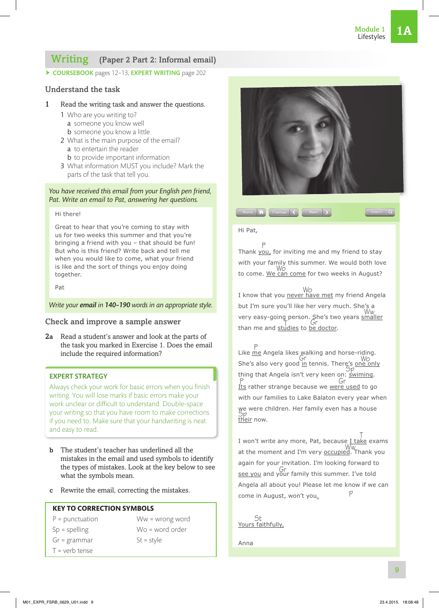Search Q

# Writing (Paper 2 Part 2: Informal email)

▶ COURSEBOOK pages 12-13, EXPERT WRITING page 202

#### Understand the task

#### 1 Read the writing task and answer the questions.

- 1 Who are you writing to?
	- a someone you know well
	- b someone you know a little
- 2 What is the main purpose of the email? a to entertain the reader
	- **b** to provide important information
- 3 What information MUST you include? Mark the parts of the task that tell you.

#### *You have received this email from your English pen friend, Pat. Write an email to Pat, answering her questions.*

#### Hi there!

Great to hear that you're coming to stay with us for two weeks this summer and that you're bringing a friend with you – that should be fun! But who is this friend? Write back and tell me when you would like to come, what your friend is like and the sort of things you enjoy doing together.

Pat

#### *Write your email in 140–190 words in an appropriate style.*

#### Check and improve a sample answer

2a Read a student's answer and look at the parts of the task you marked in Exercise 1. Does the email include the required information?

#### EXPERT STRATEGY

Always check your work for basic errors when you finish writing. You will lose marks if basic errors make your work unclear or difficult to understand. Double-space your writing so that you have room to make corrections if you need to. Make sure that your handwriting is neat and easy to read.

- b The student's teacher has underlined all the mistakes in the email and used symbols to identify the types of mistakes. Look at the key below to see what the symbols mean.
- c Rewrite the email, correcting the mistakes.

#### **KEY TO CORRECTION SYMBOLS**

 $P =$  punctuation Sp = spelling Gr = grammar

Ww = wrong word Wo = word order  $St = style$ 

 $T =$  verb tense



#### Hi Pat,

P<br>Thank <u>you,</u> for inviting me and my friend to stay with your family this summer. We would both love to come. We can come for two weeks in August? Wo

Home **in** Previous **(C** Next **)** 

Wo<br>I know that you <u>never have met</u> my friend Angela but I'm sure you'll like her very much. She's a Ww<br>very easy-going person. She's two years smaller than me and studies to be doctor. T<br>Indiaa ta ba

P<br>Like <u>me</u> Angela likes walking and horse-riding. She's also very good in tennis. There's one only  $time$ ,  $time$   $\frac{m}{2}$   $\frac{m}{2}$ <br>thing that Angela isn't very keen on: <u>swiming</u>. Its rather strange because we were used to go P Gr with our families to Lake Balaton every year when we were children. Her family even has a house Sp<br><u>their</u> now.

I won't write any more, Pat, because <u>I take</u> exams www.<br>at the moment and I'm very **occupied**. Thank you again for your invitation. I'm looking forward to see you and your family this summer. I've told Gr Angela all about you! Please let me know if we can come in August, won't you. p

St<br><u>Yours faithfully,</u>

Anna

9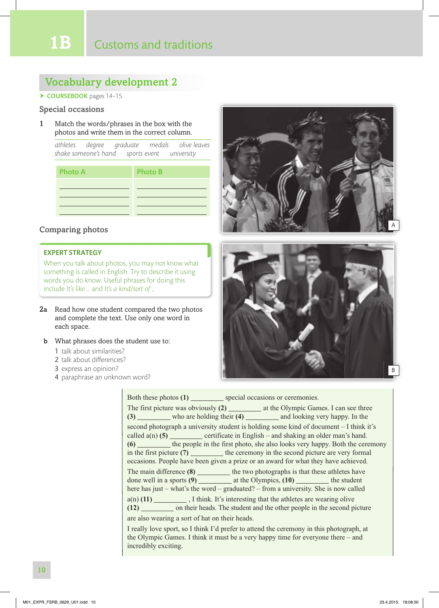# Vocabulary development 2

#### $\triangleright$  COURSEBOOK pages 14-15

#### Special occasions

1 Match the words/phrases in the box with the photos and write them in the correct column.

*athletes degree graduate medals olive leaves shake someone's hand sports event university*

| <b>Photo A</b> | <b>Photo B</b> |
|----------------|----------------|
|                |                |
|                |                |
|                |                |

#### Comparing photos

#### EXPERT STRATEGY

When you talk about photos, you may not know what something is called in English. Try to describe it using words you do know. Useful phrases for doing this include *It's like …* and *It's a kind*/*sort of …*

- 2a Read how one student compared the two photos and complete the text. Use only one word in each space.
- b What phrases does the student use to:
	- 1 talk about similarities?
	- 2 talk about differences?
	- 3 express an opinion?
	- 4 paraphrase an unknown word?





| Both these photos (1) __________ special occasions or ceremonies.                                                                                                                                                                                                                                                                                                                                                               |
|---------------------------------------------------------------------------------------------------------------------------------------------------------------------------------------------------------------------------------------------------------------------------------------------------------------------------------------------------------------------------------------------------------------------------------|
| The first picture was obviously (2) ____________ at the Olympic Games. I can see three<br>(3) who are holding their (4) ___________ and looking very happy. In the                                                                                                                                                                                                                                                              |
| second photograph a university student is holding some kind of document – I think it's<br>called $a(n)$ (5) certificate in English – and shaking an older man's hand.<br>(6) the people in the first photo, she also looks very happy. Both the ceremony<br>in the first picture $(7)$ the ceremony in the second picture are very formal<br>occasions. People have been given a prize or an award for what they have achieved. |
| The main difference (8) __________ the two photographs is that these athletes have<br>here has just – what's the word – graduated? – from a university. She is now called                                                                                                                                                                                                                                                       |
| $a(n)$ (11) ____________, I think. It's interesting that the athletes are wearing olive<br>(12) _________ on their heads. The student and the other people in the second picture                                                                                                                                                                                                                                                |
| are also wearing a sort of hat on their heads.                                                                                                                                                                                                                                                                                                                                                                                  |
| I really love sport, so I think I'd prefer to attend the ceremony in this photograph, at<br>the Olympic Games. I think it must be a very happy time for everyone there $-$ and<br>incredibly exciting.                                                                                                                                                                                                                          |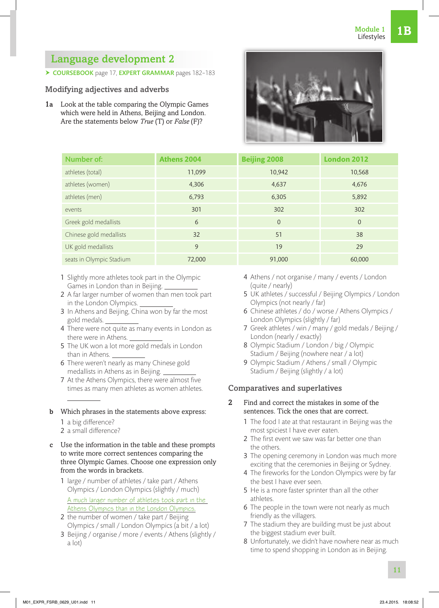# Language development 2

▶ COURSEBOOK page 17, EXPERT GRAMMAR pages 182-183

# Modifying adjectives and adverbs

1a Look at the table comparing the Olympic Games which were held in Athens, Beijing and London. Are the statements below *True* (T) or *False* (F)?

| 4 Athens / not organise / many / events / London |  |
|--------------------------------------------------|--|
| (quite / nearly)                                 |  |

- 5 UK athletes / successful / Beijing Olympics / London Olympics (not nearly / far)
- 6 Chinese athletes / do / worse / Athens Olympics / London Olympics (slightly / far)
- 7 Greek athletes / win / many / gold medals / Beijing / London (nearly / exactly)
- 8 Olympic Stadium / London / big / Olympic Stadium / Beijing (nowhere near / a lot)
- 9 Olympic Stadium / Athens / small / Olympic Stadium / Beijing (slightly / a lot)

## Comparatives and superlatives

- 2 Find and correct the mistakes in some of the sentences. Tick the ones that are correct.
	- 1 The food I ate at that restaurant in Beijing was the most spiciest I have ever eaten.
	- 2 The first event we saw was far better one than the others.
	- 3 The opening ceremony in London was much more exciting that the ceremonies in Beijing or Sydney.
	- 4 The fireworks for the London Olympics were by far the best I have ever seen.
	- 5 He is a more faster sprinter than all the other athletes.
	- 6 The people in the town were not nearly as much friendly as the villagers.
	- 7 The stadium they are building must be just about the biggest stadium ever built.
	- 8 Unfortunately, we didn't have nowhere near as much time to spend shopping in London as in Beijing.

# 7 At the Athens Olympics, there were almost five times as many men athletes as women athletes.

1 Slightly more athletes took part in the Olympic

2 A far larger number of women than men took part

3 In Athens and Beijing, China won by far the most

4 There were not quite as many events in London as

5 The UK won a lot more gold medals in London

6 There weren't nearly as many Chinese gold medallists in Athens as in Beijing.

Games in London than in Beijing.

in the London Olympics.

there were in Athens.

gold medals.

than in Athens.

- b Which phrases in the statements above express:
	- 1 a big difference? 2 a small difference?
- c Use the information in the table and these prompts
- to write more correct sentences comparing the three Olympic Games. Choose one expression only from the words in brackets.
	- 1 large / number of athletes / take part / Athens Olympics / London Olympics (slightly / much) A much larger number of athletes took part in the Athens Olympics than in the London Olympics.
	- 2 the number of women / take part / Beijing Olympics / small / London Olympics (a bit / a lot)
	- 3 Beijing / organise / more / events / Athens (slightly / a lot)



| Number of:               | <b>Athens 2004</b> | <b>Beijing 2008</b> | <b>London 2012</b> |
|--------------------------|--------------------|---------------------|--------------------|
| athletes (total)         | 11,099             | 10,942              | 10,568             |
| athletes (women)         | 4,306              | 4,637               | 4,676              |
| athletes (men)           | 6,793              | 6,305               | 5,892              |
| events                   | 301                | 302                 | 302                |
| Greek gold medallists    | 6                  | $\overline{0}$      | $\overline{0}$     |
| Chinese gold medallists  | 32                 | 51                  | 38                 |
| UK gold medallists       | 9                  | 19                  | 29                 |
| seats in Olympic Stadium | 72.000             | 91,000              | 60,000             |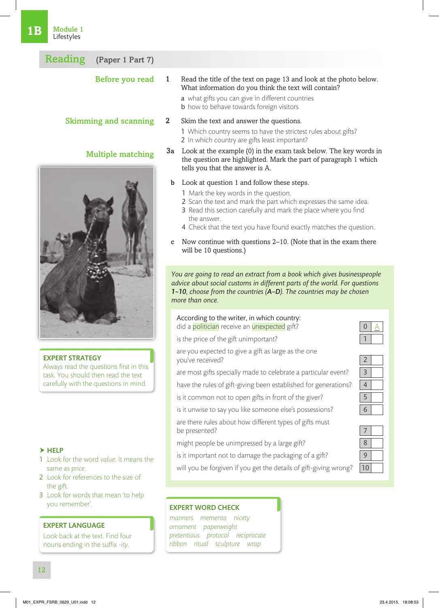| 1B | Module 1<br>Lifestyles                                                        |              |                                                                                                                                                                                                                                                                                                                                                                                                             |                |
|----|-------------------------------------------------------------------------------|--------------|-------------------------------------------------------------------------------------------------------------------------------------------------------------------------------------------------------------------------------------------------------------------------------------------------------------------------------------------------------------------------------------------------------------|----------------|
|    | <b>Reading</b><br>(Paper 1 Part 7)                                            |              |                                                                                                                                                                                                                                                                                                                                                                                                             |                |
|    | Before you read                                                               | $\mathbf{1}$ | Read the title of the text on page 13 and look at the photo below.<br>What information do you think the text will contain?<br>a what gifts you can give in different countries<br><b>b</b> how to behave towards foreign visitors                                                                                                                                                                           |                |
|    | <b>Skimming and scanning</b>                                                  | $\mathbf{2}$ | Skim the text and answer the questions.<br>1 Which country seems to have the strictest rules about gifts?<br>2 In which country are gifts least important?                                                                                                                                                                                                                                                  |                |
|    | <b>Multiple matching</b>                                                      | 3a           | Look at the example (0) in the exam task below. The key words in<br>the question are highlighted. Mark the part of paragraph 1 which<br>tells you that the answer is A.                                                                                                                                                                                                                                     |                |
|    |                                                                               | b<br>C       | Look at question 1 and follow these steps.<br>1 Mark the key words in the question.<br>2 Scan the text and mark the part which expresses the same idea.<br>3 Read this section carefully and mark the place where you find<br>the answer.<br>4 Check that the text you have found exactly matches the question.<br>Now continue with questions 2–10. (Note that in the exam there<br>will be 10 questions.) |                |
|    |                                                                               |              | You are going to read an extract from a book which gives businesspeople<br>advice about social customs in different parts of the world. For questions<br>1-10, choose from the countries (A-D). The countries may be chosen<br>more than once.                                                                                                                                                              |                |
|    |                                                                               |              | According to the writer, in which country:<br>did a politician receive an unexpected gift?                                                                                                                                                                                                                                                                                                                  |                |
|    |                                                                               |              | is the price of the gift unimportant?                                                                                                                                                                                                                                                                                                                                                                       |                |
|    | <b>EXPERT STRATEGY</b>                                                        |              | are you expected to give a gift as large as the one<br>you've received?                                                                                                                                                                                                                                                                                                                                     |                |
|    | Always read the questions first in this<br>task You should then read the text |              | are most gifts specially made to celebrate a particular event?                                                                                                                                                                                                                                                                                                                                              | $\overline{3}$ |

- $\blacktriangleright$  HELP
- 1 Look for the word *value*. It means the same as *price*.

task. You should then read the text carefully with the questions in mind.

- 2 Look for references to the size of the gift.
- 3 Look for words that mean 'to help you remember'.

#### EXPERT LANGUAGE

Look back at the text. Find four nouns ending in the suffix -*ity*.

#### are there rules about how different types of gifts must be presented?

is it common not to open gifts in front of the giver? is it unwise to say you like someone else's possessions? 6

have the rules of gift-giving been established for generations? 4

- might people be unimpressed by a large gift?
- is it important not to damage the packaging of a gift?
- will you be forgiven if you get the details of gift-giving wrong?

| X |  |
|---|--|
|   |  |
|   |  |

#### EXPERT WORD CHECK

*manners memento nicety ornament paperweight pretentious protocol reciprocate ribbon ritual sculpture wrap*